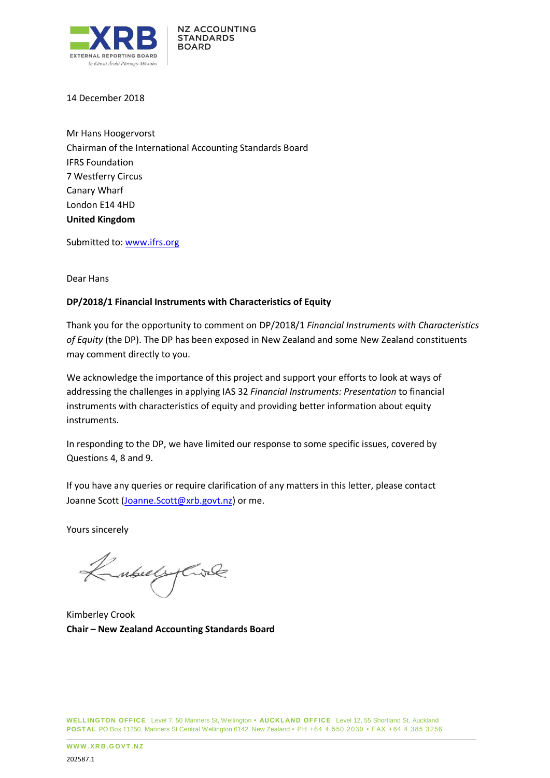

14 December 2018

Mr Hans Hoogervorst Chairman of the International Accounting Standards Board IFRS Foundation 7 Westferry Circus Canary Wharf London E14 4HD **United Kingdom**

Submitted to: [www.ifrs.org](http://www.ifrs.org/)

Dear Hans

# **DP/2018/1 Financial Instruments with Characteristics of Equity**

Thank you for the opportunity to comment on DP/2018/1 *Financial Instruments with Characteristics of Equity* (the DP). The DP has been exposed in New Zealand and some New Zealand constituents may comment directly to you.

We acknowledge the importance of this project and support your efforts to look at ways of addressing the challenges in applying IAS 32 *Financial Instruments: Presentation* to financial instruments with characteristics of equity and providing better information about equity instruments.

In responding to the DP, we have limited our response to some specific issues, covered by Questions 4, 8 and 9.

If you have any queries or require clarification of any matters in this letter, please contact Joanne Scott [\(Joanne.Scott@xrb.govt.nz\)](mailto:Joanne.Scott@xrb.govt.nz) or me.

Yours sincerely

Kubulyare

Kimberley Crook **Chair – New Zealand Accounting Standards Board**

**WELLINGTON OFFICE** Level 7, 50 Manners St, Wellington **• AUCKL AND OFFICE** Level 12, 55 Shortland St, Auckland **POST AL** PO Box 11250, Manners St Central Wellington 6142, New Zealand • PH +64 4 550 2030 • FAX + 64 4 385 3256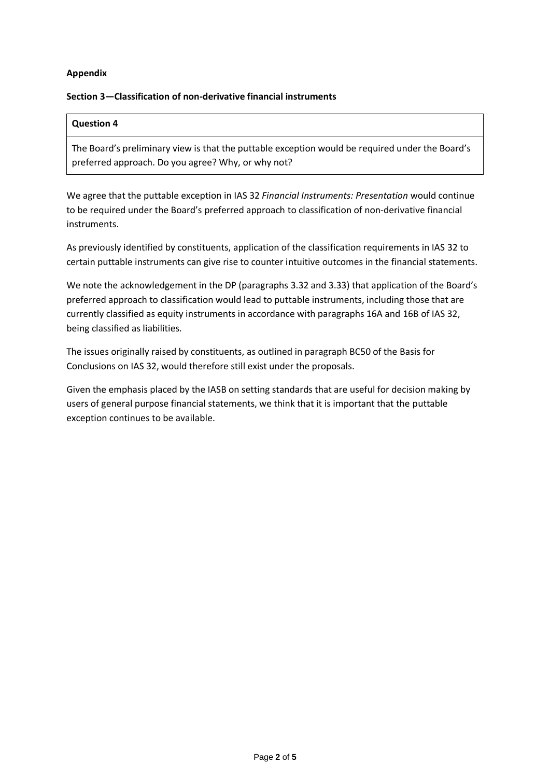# **Appendix**

#### **Section 3—Classification of non-derivative financial instruments**

#### **Question 4**

The Board's preliminary view is that the puttable exception would be required under the Board's preferred approach. Do you agree? Why, or why not?

We agree that the puttable exception in IAS 32 *Financial Instruments: Presentation* would continue to be required under the Board's preferred approach to classification of non-derivative financial instruments.

As previously identified by constituents, application of the classification requirements in IAS 32 to certain puttable instruments can give rise to counter intuitive outcomes in the financial statements.

We note the acknowledgement in the DP (paragraphs 3.32 and 3.33) that application of the Board's preferred approach to classification would lead to puttable instruments, including those that are currently classified as equity instruments in accordance with paragraphs 16A and 16B of IAS 32, being classified as liabilities.

The issues originally raised by constituents, as outlined in paragraph BC50 of the Basis for Conclusions on IAS 32, would therefore still exist under the proposals.

Given the emphasis placed by the IASB on setting standards that are useful for decision making by users of general purpose financial statements, we think that it is important that the puttable exception continues to be available.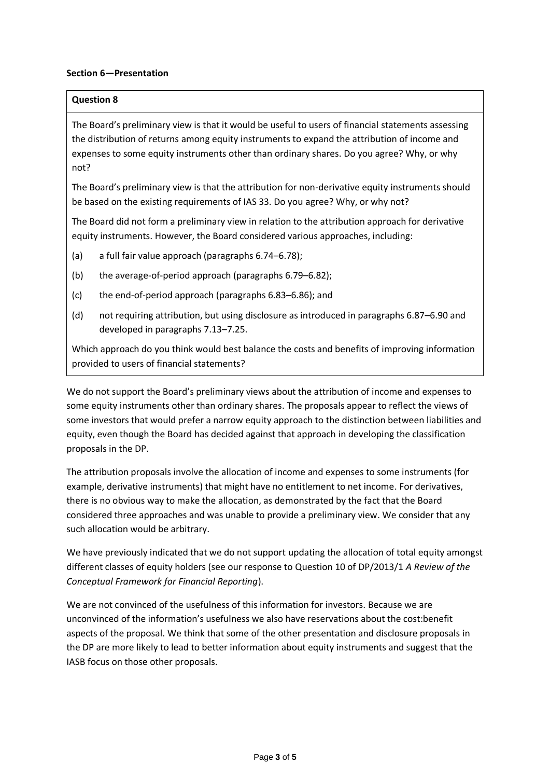### **Section 6—Presentation**

### **Question 8**

The Board's preliminary view is that it would be useful to users of financial statements assessing the distribution of returns among equity instruments to expand the attribution of income and expenses to some equity instruments other than ordinary shares. Do you agree? Why, or why not?

The Board's preliminary view is that the attribution for non-derivative equity instruments should be based on the existing requirements of IAS 33. Do you agree? Why, or why not?

The Board did not form a preliminary view in relation to the attribution approach for derivative equity instruments. However, the Board considered various approaches, including:

- (a) a full fair value approach (paragraphs 6.74–6.78);
- (b) the average-of-period approach (paragraphs 6.79–6.82);
- (c) the end-of-period approach (paragraphs 6.83–6.86); and
- (d) not requiring attribution, but using disclosure as introduced in paragraphs 6.87–6.90 and developed in paragraphs 7.13–7.25.

Which approach do you think would best balance the costs and benefits of improving information provided to users of financial statements?

We do not support the Board's preliminary views about the attribution of income and expenses to some equity instruments other than ordinary shares. The proposals appear to reflect the views of some investors that would prefer a narrow equity approach to the distinction between liabilities and equity, even though the Board has decided against that approach in developing the classification proposals in the DP.

The attribution proposals involve the allocation of income and expenses to some instruments (for example, derivative instruments) that might have no entitlement to net income. For derivatives, there is no obvious way to make the allocation, as demonstrated by the fact that the Board considered three approaches and was unable to provide a preliminary view. We consider that any such allocation would be arbitrary.

We have previously indicated that we do not support updating the allocation of total equity amongst different classes of equity holders (see our response to Question 10 of DP/2013/1 *A Review of the Conceptual Framework for Financial Reporting*).

We are not convinced of the usefulness of this information for investors. Because we are unconvinced of the information's usefulness we also have reservations about the cost:benefit aspects of the proposal. We think that some of the other presentation and disclosure proposals in the DP are more likely to lead to better information about equity instruments and suggest that the IASB focus on those other proposals.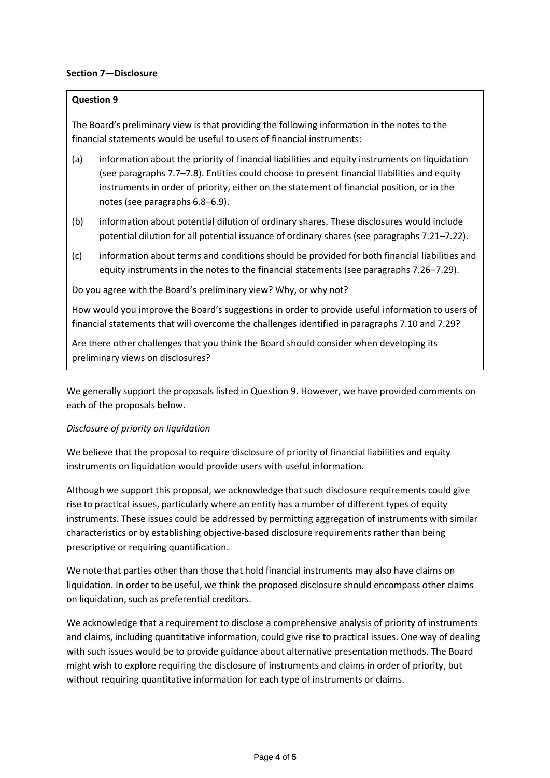### **Section 7—Disclosure**

### **Question 9**

The Board's preliminary view is that providing the following information in the notes to the financial statements would be useful to users of financial instruments:

- (a) information about the priority of financial liabilities and equity instruments on liquidation (see paragraphs 7.7–7.8). Entities could choose to present financial liabilities and equity instruments in order of priority, either on the statement of financial position, or in the notes (see paragraphs 6.8–6.9).
- (b) information about potential dilution of ordinary shares. These disclosures would include potential dilution for all potential issuance of ordinary shares (see paragraphs 7.21–7.22).
- (c) information about terms and conditions should be provided for both financial liabilities and equity instruments in the notes to the financial statements (see paragraphs 7.26–7.29).

Do you agree with the Board's preliminary view? Why, or why not?

How would you improve the Board's suggestions in order to provide useful information to users of financial statements that will overcome the challenges identified in paragraphs 7.10 and 7.29?

Are there other challenges that you think the Board should consider when developing its preliminary views on disclosures?

We generally support the proposals listed in Question 9. However, we have provided comments on each of the proposals below.

#### *Disclosure of priority on liquidation*

We believe that the proposal to require disclosure of priority of financial liabilities and equity instruments on liquidation would provide users with useful information.

Although we support this proposal, we acknowledge that such disclosure requirements could give rise to practical issues, particularly where an entity has a number of different types of equity instruments. These issues could be addressed by permitting aggregation of instruments with similar characteristics or by establishing objective-based disclosure requirements rather than being prescriptive or requiring quantification.

We note that parties other than those that hold financial instruments may also have claims on liquidation. In order to be useful, we think the proposed disclosure should encompass other claims on liquidation, such as preferential creditors.

We acknowledge that a requirement to disclose a comprehensive analysis of priority of instruments and claims, including quantitative information, could give rise to practical issues. One way of dealing with such issues would be to provide guidance about alternative presentation methods. The Board might wish to explore requiring the disclosure of instruments and claims in order of priority, but without requiring quantitative information for each type of instruments or claims.